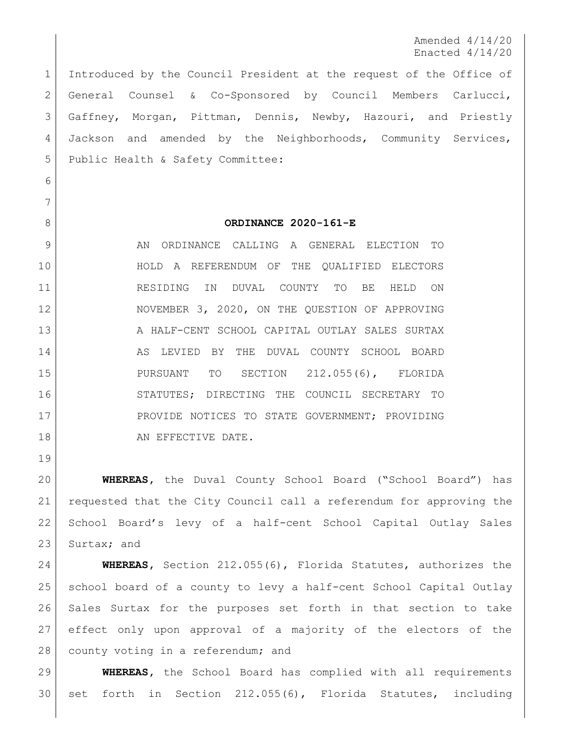Amended 4/14/20 Enacted 4/14/20

 Introduced by the Council President at the request of the Office of General Counsel & Co-Sponsored by Council Members Carlucci, Gaffney, Morgan, Pittman, Dennis, Newby, Hazouri, and Priestly Jackson and amended by the Neighborhoods, Community Services, 5 Public Health & Safety Committee:

 

## **ORDINANCE 2020-161-E**

9 AN ORDINANCE CALLING A GENERAL ELECTION TO HOLD A REFERENDUM OF THE QUALIFIED ELECTORS RESIDING IN DUVAL COUNTY TO BE HELD ON NOVEMBER 3, 2020, ON THE QUESTION OF APPROVING 13 A HALF-CENT SCHOOL CAPITAL OUTLAY SALES SURTAX 14 AS LEVIED BY THE DUVAL COUNTY SCHOOL BOARD PURSUANT TO SECTION 212.055(6), FLORIDA STATUTES; DIRECTING THE COUNCIL SECRETARY TO 17 PROVIDE NOTICES TO STATE GOVERNMENT; PROVIDING 18 AN EFFECTIVE DATE.

 **WHEREAS,** the Duval County School Board ("School Board") has requested that the City Council call a referendum for approving the School Board's levy of a half-cent School Capital Outlay Sales 23 Surtax; and

 **WHEREAS,** Section 212.055(6), Florida Statutes, authorizes the school board of a county to levy a half-cent School Capital Outlay Sales Surtax for the purposes set forth in that section to take effect only upon approval of a majority of the electors of the 28 | county voting in a referendum; and

 **WHEREAS,** the School Board has complied with all requirements set forth in Section 212.055(6), Florida Statutes, including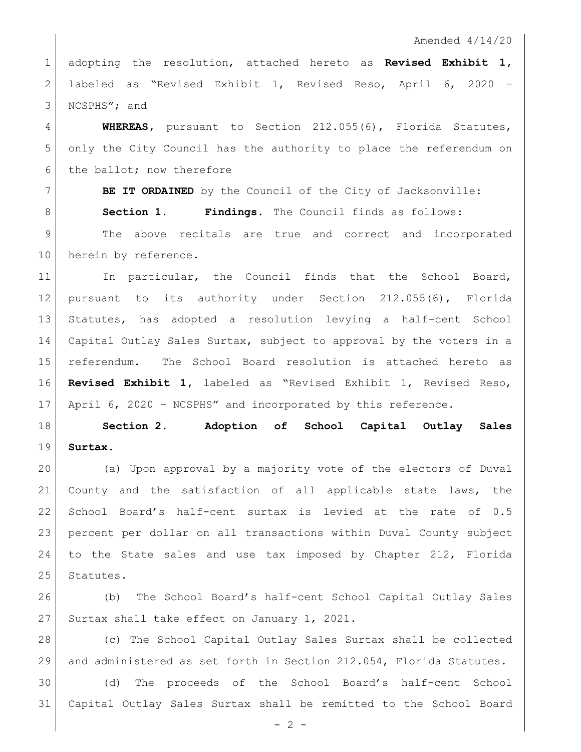Amended 4/14/20

 adopting the resolution, attached hereto as **Revised Exhibit 1,**  labeled as "Revised Exhibit 1, Revised Reso, April 6, 2020 – NCSPHS"; and

 **WHEREAS,** pursuant to Section 212.055(6), Florida Statutes, only the City Council has the authority to place the referendum on 6 the ballot; now therefore

 **BE IT ORDAINED** by the Council of the City of Jacksonville: **Section 1. Findings.** The Council finds as follows: 9 | The above recitals are true and correct and incorporated 10 herein by reference.

11 In particular, the Council finds that the School Board, pursuant to its authority under Section 212.055(6), Florida Statutes, has adopted a resolution levying a half-cent School Capital Outlay Sales Surtax, subject to approval by the voters in a referendum. The School Board resolution is attached hereto as **Revised Exhibit 1,** labeled as "Revised Exhibit 1, Revised Reso, 17 April 6, 2020 - NCSPHS" and incorporated by this reference.

 **Section 2. Adoption of School Capital Outlay Sales Surtax.**

 (a) Upon approval by a majority vote of the electors of Duval County and the satisfaction of all applicable state laws, the 22 School Board's half-cent surtax is levied at the rate of 0.5 percent per dollar on all transactions within Duval County subject to the State sales and use tax imposed by Chapter 212, Florida 25 Statutes.

 (b) The School Board's half-cent School Capital Outlay Sales 27 Surtax shall take effect on January 1, 2021.

 (c) The School Capital Outlay Sales Surtax shall be collected and administered as set forth in Section 212.054, Florida Statutes.

 (d) The proceeds of the School Board's half-cent School Capital Outlay Sales Surtax shall be remitted to the School Board

 $- 2 -$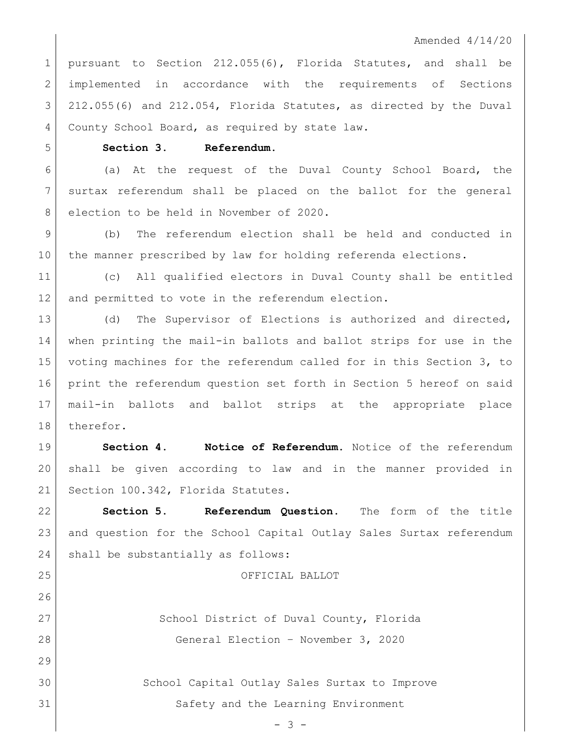## Amended 4/14/20

 pursuant to Section 212.055(6), Florida Statutes, and shall be 2 implemented in accordance with the requirements of Sections 3 212.055(6) and 212.054, Florida Statutes, as directed by the Duval 4 County School Board, as required by state law.

**Section 3. Referendum.** 

 (a) At the request of the Duval County School Board, the surtax referendum shall be placed on the ballot for the general 8 election to be held in November of 2020.

 (b) The referendum election shall be held and conducted in the manner prescribed by law for holding referenda elections.

 (c) All qualified electors in Duval County shall be entitled 12 and permitted to vote in the referendum election.

13 (d) The Supervisor of Elections is authorized and directed, when printing the mail-in ballots and ballot strips for use in the voting machines for the referendum called for in this Section 3, to print the referendum question set forth in Section 5 hereof on said mail-in ballots and ballot strips at the appropriate place 18 therefor.

 **Section 4. Notice of Referendum.** Notice of the referendum shall be given according to law and in the manner provided in 21 Section 100.342, Florida Statutes.

 **Section 5. Referendum Question.** The form of the title and question for the School Capital Outlay Sales Surtax referendum 24 shall be substantially as follows:

OFFICIAL BALLOT

27 School District of Duval County, Florida General Election – November 3, 2020

 School Capital Outlay Sales Surtax to Improve Safety and the Learning Environment

- 3 -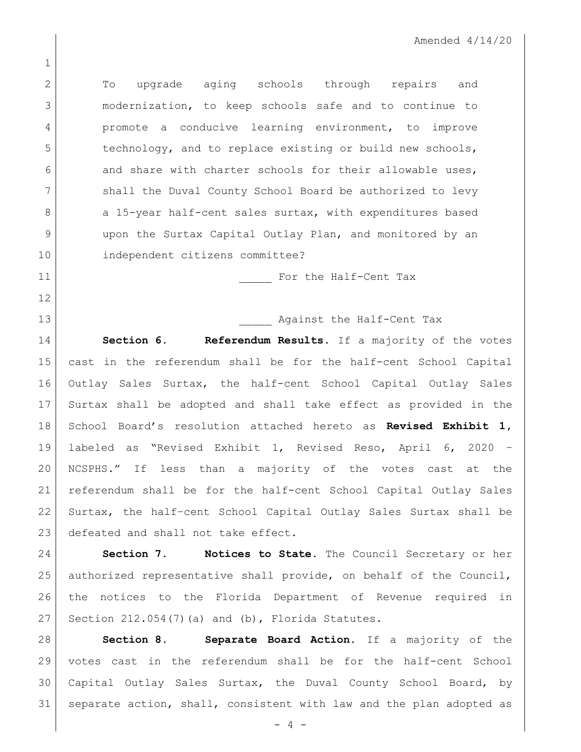2 To upgrade aging schools through repairs and modernization, to keep schools safe and to continue to **promote** a conducive learning environment, to improve 5 technology, and to replace existing or build new schools, and share with charter schools for their allowable uses, shall the Duval County School Board be authorized to levy 8 a 15-year half-cent sales surtax, with expenditures based upon the Surtax Capital Outlay Plan, and monitored by an independent citizens committee?

11 | Southern For the Half-Cent Tax

**Against the Half-Cent Tax Section 6. Referendum Results.** If a majority of the votes cast in the referendum shall be for the half-cent School Capital Outlay Sales Surtax, the half-cent School Capital Outlay Sales Surtax shall be adopted and shall take effect as provided in the School Board's resolution attached hereto as **Revised Exhibit 1,**  labeled as "Revised Exhibit 1, Revised Reso, April 6, 2020 – NCSPHS." If less than a majority of the votes cast at the referendum shall be for the half-cent School Capital Outlay Sales Surtax, the half–cent School Capital Outlay Sales Surtax shall be 23 defeated and shall not take effect.

 **Section 7. Notices to State.** The Council Secretary or her authorized representative shall provide, on behalf of the Council, the notices to the Florida Department of Revenue required in 27 | Section 212.054(7)(a) and (b), Florida Statutes.

 **Section 8. Separate Board Action.** If a majority of the votes cast in the referendum shall be for the half-cent School Capital Outlay Sales Surtax, the Duval County School Board, by separate action, shall, consistent with law and the plan adopted as

- 4 -